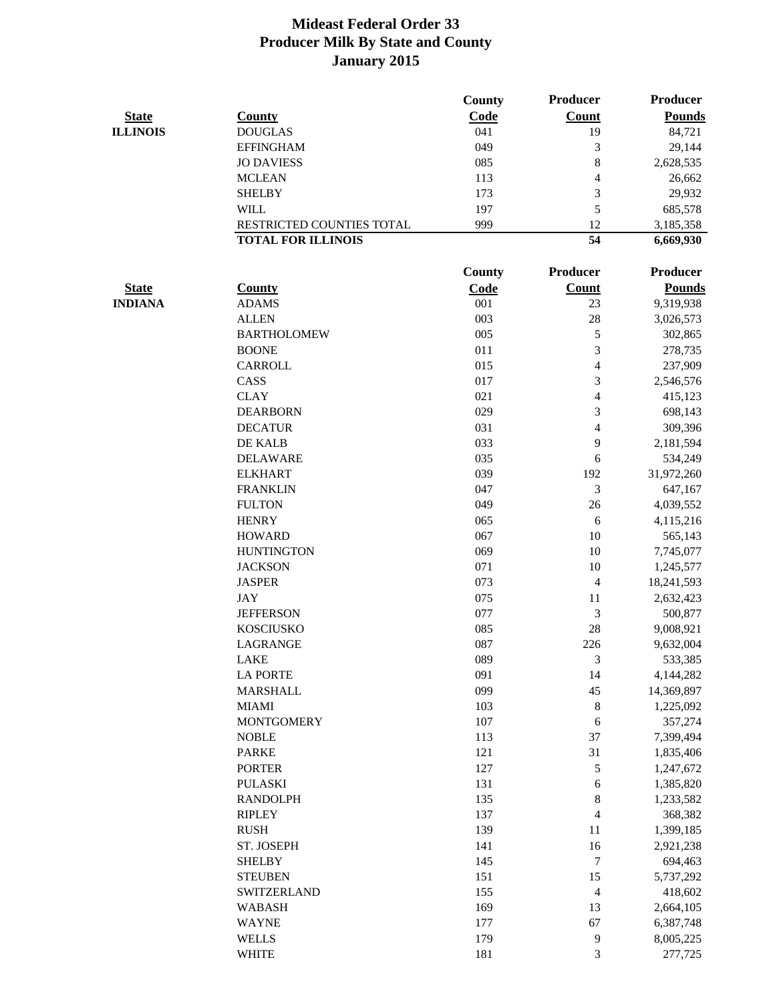|                                |                               | County        | <b>Producer</b>          | <b>Producer</b>            |
|--------------------------------|-------------------------------|---------------|--------------------------|----------------------------|
| <b>State</b>                   | <b>County</b>                 | Code          | <b>Count</b>             | <b>Pounds</b>              |
| <b>ILLINOIS</b>                | <b>DOUGLAS</b>                | 041           | 19                       | 84,721                     |
|                                | <b>EFFINGHAM</b>              | 049           | 3                        | 29,144                     |
|                                | <b>JO DAVIESS</b>             | 085           | $8\,$                    | 2,628,535                  |
|                                | <b>MCLEAN</b>                 | 113           | $\overline{4}$           | 26,662                     |
|                                | <b>SHELBY</b>                 | 173           | 3                        | 29,932                     |
|                                | <b>WILL</b>                   | 197           | 5                        | 685,578                    |
|                                | RESTRICTED COUNTIES TOTAL     | 999           | 12                       | 3,185,358                  |
|                                | <b>TOTAL FOR ILLINOIS</b>     |               | 54                       | 6,669,930                  |
|                                |                               |               | <b>Producer</b>          | <b>Producer</b>            |
|                                |                               | <b>County</b> |                          |                            |
| <b>State</b><br><b>INDIANA</b> | <b>County</b><br><b>ADAMS</b> | Code<br>001   | <b>Count</b><br>23       | <b>Pounds</b><br>9,319,938 |
|                                | <b>ALLEN</b>                  | 003           | 28                       | 3,026,573                  |
|                                |                               |               |                          |                            |
|                                | <b>BARTHOLOMEW</b>            | 005           | 5                        | 302,865                    |
|                                | <b>BOONE</b>                  | 011           | 3                        | 278,735                    |
|                                | <b>CARROLL</b>                | 015           | $\overline{\mathcal{L}}$ | 237,909                    |
|                                | CASS                          | 017           | 3                        | 2,546,576                  |
|                                | <b>CLAY</b>                   | 021           | $\overline{\mathcal{A}}$ | 415,123                    |
|                                | <b>DEARBORN</b>               | 029           | 3                        | 698,143                    |
|                                | <b>DECATUR</b>                | 031           | $\overline{\mathcal{A}}$ | 309,396                    |
|                                | DE KALB                       | 033           | 9                        | 2,181,594                  |
|                                | <b>DELAWARE</b>               | 035           | 6                        | 534,249                    |
|                                | <b>ELKHART</b>                | 039           | 192                      | 31,972,260                 |
|                                | <b>FRANKLIN</b>               | 047           | 3                        | 647,167                    |
|                                | <b>FULTON</b>                 | 049           | 26                       | 4,039,552                  |
|                                | <b>HENRY</b>                  | 065           | 6                        | 4,115,216                  |
|                                | <b>HOWARD</b>                 | 067           | 10                       | 565,143                    |
|                                | <b>HUNTINGTON</b>             | 069           | 10                       | 7,745,077                  |
|                                | <b>JACKSON</b>                | 071           | 10                       | 1,245,577                  |
|                                | <b>JASPER</b>                 | 073           | 4                        | 18,241,593                 |
|                                | <b>JAY</b>                    | 075           | 11                       | 2,632,423                  |
|                                | <b>JEFFERSON</b>              | 077           | 3                        | 500,877                    |
|                                | <b>KOSCIUSKO</b>              | 085           | 28                       | 9,008,921                  |
|                                | <b>LAGRANGE</b>               | 087           | 226                      | 9,632,004                  |
|                                | <b>LAKE</b>                   | 089           | 3                        | 533,385                    |
|                                | <b>LA PORTE</b>               | 091           | 14                       | 4,144,282                  |
|                                | <b>MARSHALL</b>               | 099           | 45                       | 14,369,897                 |
|                                | <b>MIAMI</b>                  | 103           | $8\,$                    | 1,225,092                  |
|                                | <b>MONTGOMERY</b>             | 107           | 6                        | 357,274                    |
|                                | <b>NOBLE</b>                  | 113           | 37                       | 7,399,494                  |
|                                | <b>PARKE</b>                  | 121           | 31                       |                            |
|                                | <b>PORTER</b>                 |               |                          | 1,835,406                  |
|                                |                               | 127           | 5                        | 1,247,672                  |
|                                | <b>PULASKI</b>                | 131           | 6                        | 1,385,820                  |
|                                | <b>RANDOLPH</b>               | 135           | $8\,$                    | 1,233,582                  |
|                                | <b>RIPLEY</b>                 | 137           | $\overline{4}$           | 368,382                    |
|                                | <b>RUSH</b>                   | 139           | 11                       | 1,399,185                  |
|                                | ST. JOSEPH                    | 141           | 16                       | 2,921,238                  |
|                                | <b>SHELBY</b>                 | 145           | $\boldsymbol{7}$         | 694,463                    |
|                                | <b>STEUBEN</b>                | 151           | 15                       | 5,737,292                  |
|                                | <b>SWITZERLAND</b>            | 155           | $\overline{4}$           | 418,602                    |
|                                | <b>WABASH</b>                 | 169           | 13                       | 2,664,105                  |
|                                | <b>WAYNE</b>                  | 177           | 67                       | 6,387,748                  |
|                                | <b>WELLS</b>                  | 179           | 9                        | 8,005,225                  |
|                                | <b>WHITE</b>                  | 181           | 3                        | 277,725                    |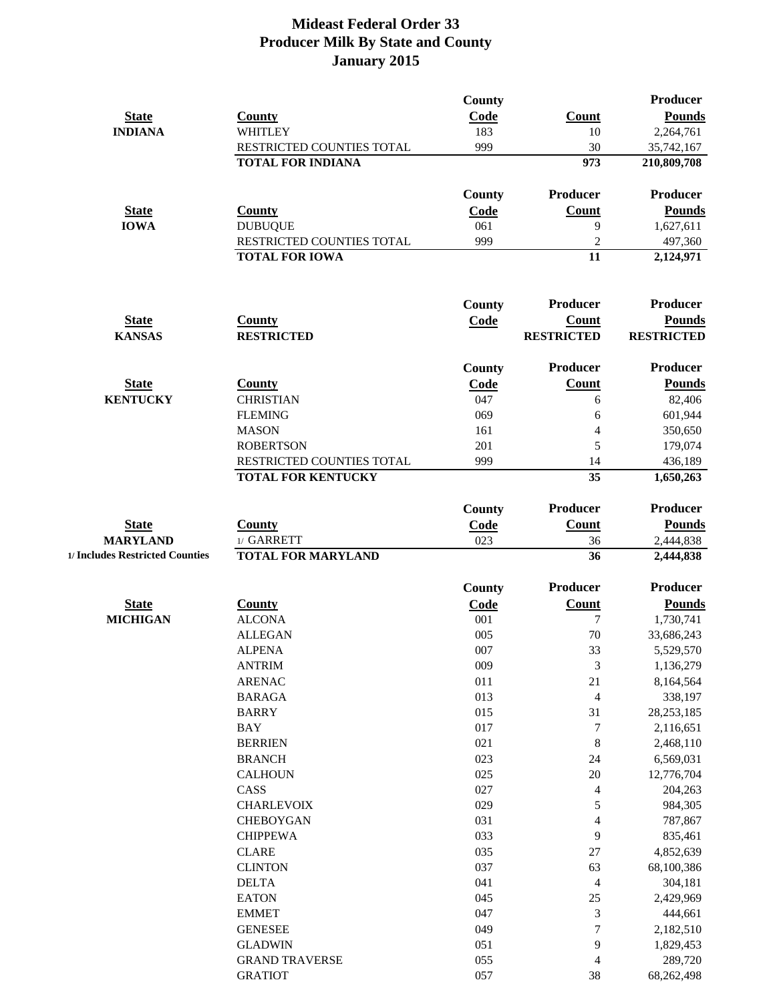|                                 |                           | <b>County</b> |                          | Producer          |
|---------------------------------|---------------------------|---------------|--------------------------|-------------------|
| <b>State</b>                    | <b>County</b>             | Code          | <b>Count</b>             | <b>Pounds</b>     |
| <b>INDIANA</b>                  | <b>WHITLEY</b>            | 183           | 10                       | 2,264,761         |
|                                 | RESTRICTED COUNTIES TOTAL | 999           | 30                       | 35,742,167        |
|                                 | <b>TOTAL FOR INDIANA</b>  |               | 973                      | 210,809,708       |
|                                 |                           | <b>County</b> | <b>Producer</b>          | Producer          |
| <b>State</b>                    | <b>County</b>             | <b>Code</b>   | <b>Count</b>             | <b>Pounds</b>     |
| <b>IOWA</b>                     | <b>DUBUQUE</b>            | 061           | 9                        | 1,627,611         |
|                                 | RESTRICTED COUNTIES TOTAL | 999           | $\overline{2}$           | 497,360           |
|                                 | <b>TOTAL FOR IOWA</b>     |               | 11                       | 2,124,971         |
|                                 |                           | <b>County</b> | Producer                 | Producer          |
| <b>State</b>                    | <b>County</b>             | Code          | <b>Count</b>             | <b>Pounds</b>     |
| <b>KANSAS</b>                   | <b>RESTRICTED</b>         |               | <b>RESTRICTED</b>        | <b>RESTRICTED</b> |
|                                 |                           | <b>County</b> | Producer                 | <b>Producer</b>   |
| <b>State</b>                    | <b>County</b>             | <b>Code</b>   | <b>Count</b>             | <b>Pounds</b>     |
| <b>KENTUCKY</b>                 | <b>CHRISTIAN</b>          | 047           | 6                        | 82,406            |
|                                 | <b>FLEMING</b>            | 069           | 6                        | 601,944           |
|                                 | <b>MASON</b>              | 161           | 4                        | 350,650           |
|                                 | <b>ROBERTSON</b>          | 201           | 5                        | 179,074           |
|                                 | RESTRICTED COUNTIES TOTAL | 999           | 14                       | 436,189           |
|                                 | <b>TOTAL FOR KENTUCKY</b> |               | 35                       | 1,650,263         |
|                                 |                           | County        | Producer                 | <b>Producer</b>   |
| <b>State</b>                    | <b>County</b>             | Code          | <b>Count</b>             | <b>Pounds</b>     |
| <b>MARYLAND</b>                 | 1/ GARRETT                | 023           | 36                       | 2,444,838         |
| 1/ Includes Restricted Counties | <b>TOTAL FOR MARYLAND</b> |               | 36                       | 2,444,838         |
|                                 |                           | County        | Producer                 | <b>Producer</b>   |
| <b>State</b>                    | <b>County</b>             | Code          | <b>Count</b>             | <b>Pounds</b>     |
| <b>MICHIGAN</b>                 | <b>ALCONA</b>             | 001           | $\tau$                   | 1,730,741         |
|                                 | <b>ALLEGAN</b>            | 005           | 70                       | 33,686,243        |
|                                 | <b>ALPENA</b>             | 007           | 33                       | 5,529,570         |
|                                 | <b>ANTRIM</b>             | 009           | 3                        | 1,136,279         |
|                                 | <b>ARENAC</b>             | 011           | 21                       | 8,164,564         |
|                                 | <b>BARAGA</b>             | 013           | $\overline{4}$           | 338,197           |
|                                 | <b>BARRY</b>              | 015           | 31                       | 28, 253, 185      |
|                                 | <b>BAY</b>                | 017           | $\boldsymbol{7}$         | 2,116,651         |
|                                 | <b>BERRIEN</b>            | 021           | $\,8\,$                  | 2,468,110         |
|                                 | <b>BRANCH</b>             | 023           | 24                       | 6,569,031         |
|                                 | <b>CALHOUN</b>            | 025           | 20                       | 12,776,704        |
|                                 | CASS                      | 027           | $\overline{\mathcal{A}}$ | 204,263           |
|                                 | <b>CHARLEVOIX</b>         | 029           | 5                        | 984,305           |
|                                 | <b>CHEBOYGAN</b>          | 031           | $\overline{4}$           | 787,867           |
|                                 | <b>CHIPPEWA</b>           | 033           | 9                        | 835,461           |
|                                 | <b>CLARE</b>              | 035           | $27\,$                   | 4,852,639         |
|                                 | <b>CLINTON</b>            | 037           | 63                       | 68,100,386        |
|                                 | <b>DELTA</b>              | 041           | $\overline{4}$           | 304,181           |
|                                 | <b>EATON</b>              | 045           | 25                       | 2,429,969         |
|                                 | <b>EMMET</b>              | 047           | 3                        | 444,661           |
|                                 | <b>GENESEE</b>            | 049           | $\boldsymbol{7}$         | 2,182,510         |
|                                 | <b>GLADWIN</b>            | 051           | 9                        | 1,829,453         |
|                                 | <b>GRAND TRAVERSE</b>     | 055           | $\overline{4}$           | 289,720           |
|                                 | <b>GRATIOT</b>            | 057           | 38                       | 68,262,498        |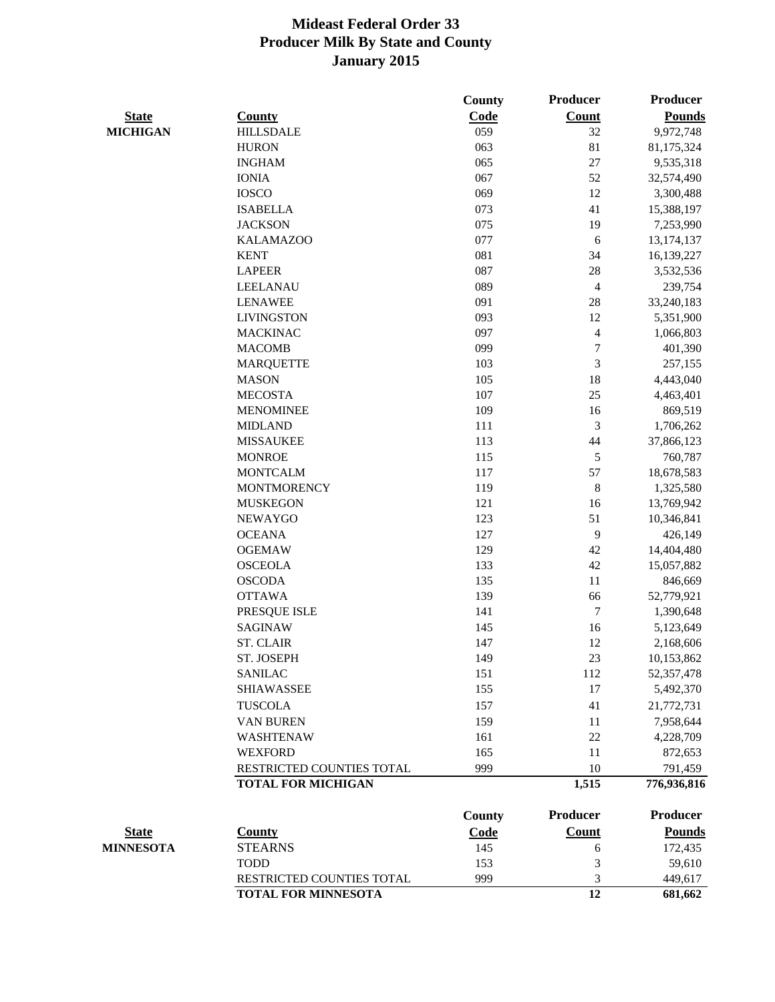|                  |                            | County        | <b>Producer</b> | <b>Producer</b> |
|------------------|----------------------------|---------------|-----------------|-----------------|
| <b>State</b>     | <b>County</b>              | Code          | <b>Count</b>    | <b>Pounds</b>   |
| <b>MICHIGAN</b>  | <b>HILLSDALE</b>           | 059           | 32              | 9,972,748       |
|                  | <b>HURON</b>               | 063           | 81              | 81,175,324      |
|                  | <b>INGHAM</b>              | 065           | 27              | 9,535,318       |
|                  | <b>IONIA</b>               | 067           | 52              | 32,574,490      |
|                  | <b>IOSCO</b>               | 069           | 12              | 3,300,488       |
|                  | <b>ISABELLA</b>            | 073           | 41              | 15,388,197      |
|                  | <b>JACKSON</b>             | 075           | 19              | 7,253,990       |
|                  | <b>KALAMAZOO</b>           | 077           | $\sqrt{6}$      | 13, 174, 137    |
|                  | <b>KENT</b>                | 081           | 34              | 16,139,227      |
|                  | <b>LAPEER</b>              | 087           | $28\,$          | 3,532,536       |
|                  | LEELANAU                   | 089           | 4               | 239,754         |
|                  | <b>LENAWEE</b>             | 091           | 28              | 33,240,183      |
|                  | <b>LIVINGSTON</b>          | 093           | 12              | 5,351,900       |
|                  | <b>MACKINAC</b>            | 097           | $\overline{4}$  | 1,066,803       |
|                  | <b>MACOMB</b>              | 099           | $\sqrt{ }$      | 401,390         |
|                  | <b>MARQUETTE</b>           | 103           | $\mathfrak{Z}$  | 257,155         |
|                  | <b>MASON</b>               | 105           | 18              | 4,443,040       |
|                  | <b>MECOSTA</b>             | 107           | 25              | 4,463,401       |
|                  | <b>MENOMINEE</b>           | 109           | 16              | 869,519         |
|                  | <b>MIDLAND</b>             | 111           | $\mathfrak{Z}$  | 1,706,262       |
|                  | <b>MISSAUKEE</b>           | 113           | 44              | 37,866,123      |
|                  | <b>MONROE</b>              | 115           | 5               | 760,787         |
|                  | <b>MONTCALM</b>            | 117           | 57              | 18,678,583      |
|                  | <b>MONTMORENCY</b>         | 119           | $8\,$           | 1,325,580       |
|                  | <b>MUSKEGON</b>            | 121           | 16              | 13,769,942      |
|                  | <b>NEWAYGO</b>             | 123           | 51              | 10,346,841      |
|                  | <b>OCEANA</b>              | 127           | 9               | 426,149         |
|                  | <b>OGEMAW</b>              | 129           | 42              | 14,404,480      |
|                  | <b>OSCEOLA</b>             | 133           | 42              | 15,057,882      |
|                  | <b>OSCODA</b>              | 135           | 11              | 846,669         |
|                  | <b>OTTAWA</b>              | 139           | 66              | 52,779,921      |
|                  | PRESQUE ISLE               | 141           | $\tau$          | 1,390,648       |
|                  | <b>SAGINAW</b>             | 145           | 16              | 5,123,649       |
|                  | <b>ST. CLAIR</b>           | 147           | 12              | 2,168,606       |
|                  | ST. JOSEPH                 | 149           | 23              | 10,153,862      |
|                  | <b>SANILAC</b>             | 151           | 112             | 52, 357, 478    |
|                  | <b>SHIAWASSEE</b>          | 155           | 17              | 5,492,370       |
|                  | <b>TUSCOLA</b>             | 157           | 41              | 21,772,731      |
|                  | <b>VAN BUREN</b>           | 159           | 11              |                 |
|                  |                            |               |                 | 7,958,644       |
|                  | <b>WASHTENAW</b>           | 161           | 22              | 4,228,709       |
|                  | <b>WEXFORD</b>             | 165           | 11              | 872,653         |
|                  | RESTRICTED COUNTIES TOTAL  | 999           | 10              | 791,459         |
|                  | <b>TOTAL FOR MICHIGAN</b>  |               | 1,515           | 776,936,816     |
|                  |                            | <b>County</b> | Producer        | <b>Producer</b> |
| <b>State</b>     | <b>County</b>              | <b>Code</b>   | <b>Count</b>    | <b>Pounds</b>   |
| <b>MINNESOTA</b> | <b>STEARNS</b>             | 145           | 6               | 172,435         |
|                  | <b>TODD</b>                | 153           | 3               | 59,610          |
|                  | RESTRICTED COUNTIES TOTAL  | 999           | 3               | 449,617         |
|                  | <b>TOTAL FOR MINNESOTA</b> |               | 12              | 681,662         |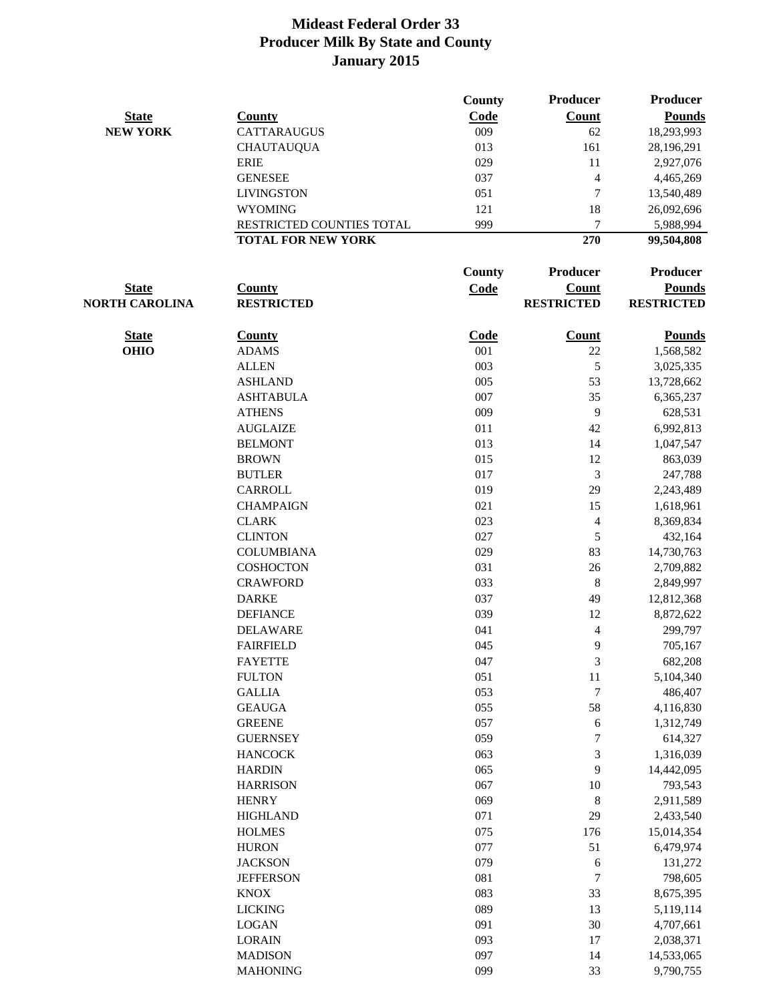|                       |                           | County      | Producer          | <b>Producer</b>   |
|-----------------------|---------------------------|-------------|-------------------|-------------------|
| <b>State</b>          | <b>County</b>             | Code        | <b>Count</b>      | <b>Pounds</b>     |
| <b>NEW YORK</b>       | <b>CATTARAUGUS</b>        | 009         | 62                | 18,293,993        |
|                       | <b>CHAUTAUQUA</b>         | 013         | 161               | 28,196,291        |
|                       | <b>ERIE</b>               | 029         | 11                | 2,927,076         |
|                       | <b>GENESEE</b>            | 037         | $\overline{4}$    | 4,465,269         |
|                       | <b>LIVINGSTON</b>         | 051         | $\overline{7}$    | 13,540,489        |
|                       | <b>WYOMING</b>            | 121         | 18                | 26,092,696        |
|                       | RESTRICTED COUNTIES TOTAL | 999         | 7                 | 5,988,994         |
|                       | <b>TOTAL FOR NEW YORK</b> |             | 270               | 99,504,808        |
|                       |                           | County      | Producer          | Producer          |
| <b>State</b>          | <b>County</b>             | <b>Code</b> | <b>Count</b>      | <b>Pounds</b>     |
| <b>NORTH CAROLINA</b> | <b>RESTRICTED</b>         |             | <b>RESTRICTED</b> | <b>RESTRICTED</b> |
| <b>State</b>          | <b>County</b>             | Code        | <b>Count</b>      | <b>Pounds</b>     |
| <b>OHIO</b>           | <b>ADAMS</b>              | 001         | 22                | 1,568,582         |
|                       | <b>ALLEN</b>              | 003         | $\mathfrak s$     | 3,025,335         |
|                       | <b>ASHLAND</b>            | 005         | 53                | 13,728,662        |
|                       | <b>ASHTABULA</b>          | 007         | 35                | 6,365,237         |
|                       | <b>ATHENS</b>             | 009         | 9                 | 628,531           |
|                       | <b>AUGLAIZE</b>           | 011         | 42                | 6,992,813         |
|                       | <b>BELMONT</b>            | 013         | 14                | 1,047,547         |
|                       | <b>BROWN</b>              | 015         | 12                | 863,039           |
|                       | <b>BUTLER</b>             | 017         | 3                 | 247,788           |
|                       | CARROLL                   | 019         | 29                | 2,243,489         |
|                       | <b>CHAMPAIGN</b>          | 021         | 15                | 1,618,961         |
|                       | <b>CLARK</b>              | 023         | $\overline{4}$    | 8,369,834         |
|                       | <b>CLINTON</b>            | 027         | 5                 | 432,164           |
|                       | <b>COLUMBIANA</b>         | 029         | 83                | 14,730,763        |
|                       | <b>COSHOCTON</b>          | 031         | 26                | 2,709,882         |
|                       | <b>CRAWFORD</b>           | 033         | 8                 | 2,849,997         |
|                       | <b>DARKE</b>              | 037         | 49                | 12,812,368        |
|                       | <b>DEFIANCE</b>           | 039         | 12                | 8,872,622         |
|                       | <b>DELAWARE</b>           | 041         | $\overline{4}$    | 299,797           |
|                       | <b>FAIRFIELD</b>          | 045         | 9                 | 705,167           |
|                       | <b>FAYETTE</b>            | 047         | 3                 | 682,208           |
|                       | <b>FULTON</b>             | 051         | 11                | 5,104,340         |
|                       | <b>GALLIA</b>             | 053         | $\boldsymbol{7}$  | 486,407           |
|                       | <b>GEAUGA</b>             | 055         | 58                | 4,116,830         |
|                       | <b>GREENE</b>             | 057         | 6                 | 1,312,749         |
|                       | <b>GUERNSEY</b>           | 059         | $\overline{7}$    | 614,327           |
|                       | <b>HANCOCK</b>            | 063         | 3                 | 1,316,039         |
|                       | <b>HARDIN</b>             | 065         | 9                 | 14,442,095        |
|                       | <b>HARRISON</b>           | 067         | 10                | 793,543           |
|                       | <b>HENRY</b>              | 069         | 8                 | 2,911,589         |
|                       | <b>HIGHLAND</b>           | 071         | 29                | 2,433,540         |
|                       | <b>HOLMES</b>             | 075         | 176               | 15,014,354        |
|                       | <b>HURON</b>              | 077         | 51                | 6,479,974         |
|                       | <b>JACKSON</b>            | 079         | 6                 | 131,272           |
|                       | <b>JEFFERSON</b>          | 081         | $\overline{7}$    | 798,605           |
|                       | <b>KNOX</b>               | 083         | 33                | 8,675,395         |
|                       | <b>LICKING</b>            | 089         | 13                | 5,119,114         |
|                       | <b>LOGAN</b>              | 091         | 30                | 4,707,661         |
|                       | <b>LORAIN</b>             | 093         | 17                | 2,038,371         |
|                       | <b>MADISON</b>            | 097         | 14                | 14,533,065        |
|                       | <b>MAHONING</b>           | 099         | 33                | 9,790,755         |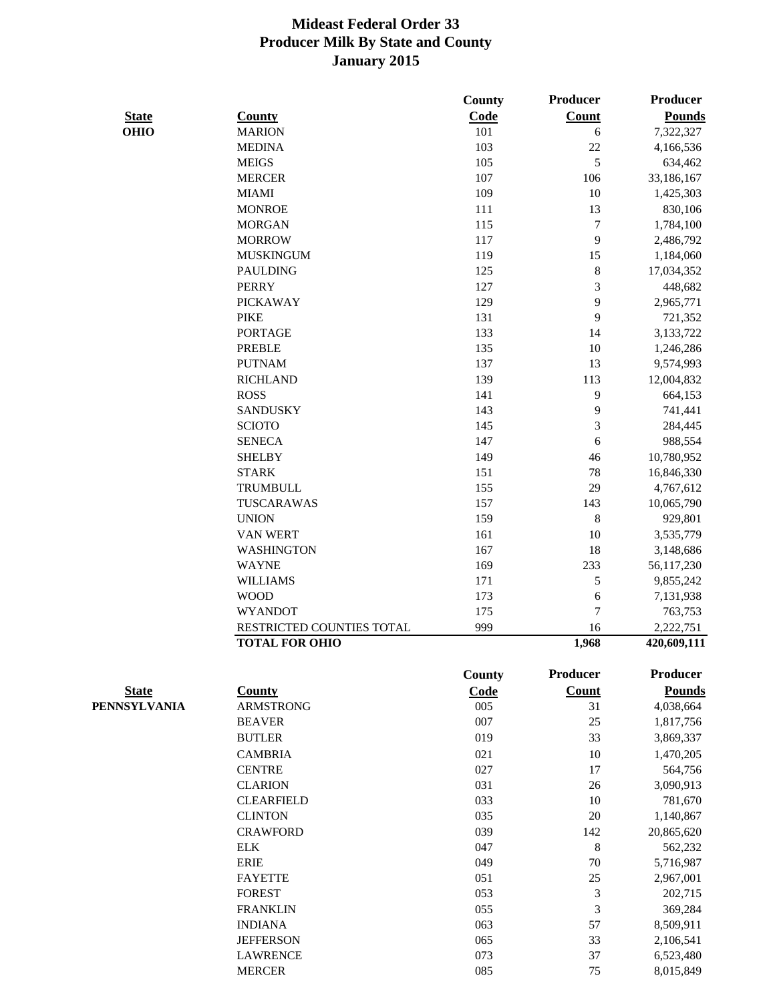|              |                           | County        | <b>Producer</b>  | <b>Producer</b> |
|--------------|---------------------------|---------------|------------------|-----------------|
| <b>State</b> | <b>County</b>             | Code          | <b>Count</b>     | <b>Pounds</b>   |
| <b>OHIO</b>  | <b>MARION</b>             | 101           | 6                | 7,322,327       |
|              | <b>MEDINA</b>             | 103           | 22               | 4,166,536       |
|              | <b>MEIGS</b>              | 105           | 5                | 634,462         |
|              | <b>MERCER</b>             | 107           | 106              | 33,186,167      |
|              | <b>MIAMI</b>              | 109           | 10               | 1,425,303       |
|              | <b>MONROE</b>             | 111           | 13               | 830,106         |
|              | <b>MORGAN</b>             | 115           | $\boldsymbol{7}$ | 1,784,100       |
|              | <b>MORROW</b>             | 117           | 9                | 2,486,792       |
|              | <b>MUSKINGUM</b>          | 119           | 15               | 1,184,060       |
|              | <b>PAULDING</b>           | 125           | $\,8$            | 17,034,352      |
|              | <b>PERRY</b>              | 127           | 3                | 448,682         |
|              | <b>PICKAWAY</b>           | 129           | 9                | 2,965,771       |
|              | <b>PIKE</b>               | 131           | 9                | 721,352         |
|              | <b>PORTAGE</b>            | 133           | 14               | 3,133,722       |
|              | <b>PREBLE</b>             | 135           | 10               | 1,246,286       |
|              | <b>PUTNAM</b>             | 137           | 13               | 9,574,993       |
|              | <b>RICHLAND</b>           | 139           | 113              | 12,004,832      |
|              |                           |               |                  |                 |
|              | <b>ROSS</b>               | 141           | 9                | 664,153         |
|              | <b>SANDUSKY</b>           | 143           | 9                | 741,441         |
|              | <b>SCIOTO</b>             | 145           | 3                | 284,445         |
|              | <b>SENECA</b>             | 147           | 6                | 988,554         |
|              | <b>SHELBY</b>             | 149           | 46               | 10,780,952      |
|              | <b>STARK</b>              | 151           | 78               | 16,846,330      |
|              | <b>TRUMBULL</b>           | 155           | 29               | 4,767,612       |
|              | TUSCARAWAS                | 157           | 143              | 10,065,790      |
|              | <b>UNION</b>              | 159           | $8\,$            | 929,801         |
|              | <b>VAN WERT</b>           | 161           | 10               | 3,535,779       |
|              | <b>WASHINGTON</b>         | 167           | 18               | 3,148,686       |
|              | <b>WAYNE</b>              | 169           | 233              | 56,117,230      |
|              | <b>WILLIAMS</b>           | 171           | 5                | 9,855,242       |
|              | <b>WOOD</b>               | 173           | 6                | 7,131,938       |
|              | <b>WYANDOT</b>            | 175           | 7                | 763,753         |
|              | RESTRICTED COUNTIES TOTAL | 999           | 16               | 2,222,751       |
|              | <b>TOTAL FOR OHIO</b>     |               | 1,968            | 420,609,111     |
|              |                           | <b>County</b> | Producer         | Producer        |
| <b>State</b> | <b>County</b>             | Code          | <b>Count</b>     | <b>Pounds</b>   |
| PENNSYLVANIA | <b>ARMSTRONG</b>          | 005           | 31               | 4,038,664       |
|              | <b>BEAVER</b>             | 007           | 25               | 1,817,756       |
|              | <b>BUTLER</b>             | 019           | 33               | 3,869,337       |
|              | <b>CAMBRIA</b>            | 021           | 10               | 1,470,205       |
|              | <b>CENTRE</b>             | 027           | 17               | 564,756         |
|              | <b>CLARION</b>            | 031           | 26               | 3,090,913       |
|              | <b>CLEARFIELD</b>         | 033           | 10               | 781,670         |
|              | <b>CLINTON</b>            | 035           | 20               | 1,140,867       |
|              | <b>CRAWFORD</b>           | 039           | 142              | 20,865,620      |
|              | <b>ELK</b>                | 047           | $8\,$            | 562,232         |
|              | <b>ERIE</b>               | 049           | 70               | 5,716,987       |
|              | <b>FAYETTE</b>            | 051           | 25               | 2,967,001       |
|              | <b>FOREST</b>             | 053           | 3                | 202,715         |
|              | <b>FRANKLIN</b>           | 055           | 3                | 369,284         |
|              | <b>INDIANA</b>            | 063           | 57               | 8,509,911       |
|              | <b>JEFFERSON</b>          | 065           | 33               | 2,106,541       |
|              | <b>LAWRENCE</b>           | 073           | 37               | 6,523,480       |
|              | <b>MERCER</b>             | 085           | 75               | 8,015,849       |
|              |                           |               |                  |                 |